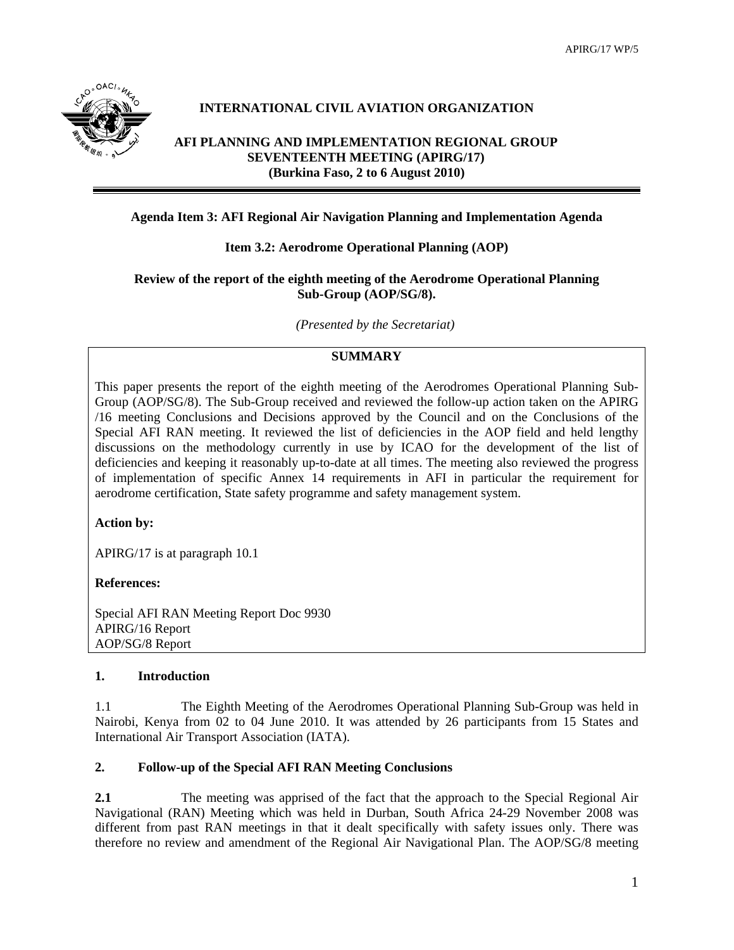

# **INTERNATIONAL CIVIL AVIATION ORGANIZATION**

## **AFI PLANNING AND IMPLEMENTATION REGIONAL GROUP SEVENTEENTH MEETING (APIRG/17) (Burkina Faso, 2 to 6 August 2010)**

## **Agenda Item 3: AFI Regional Air Navigation Planning and Implementation Agenda**

## **Item 3.2: Aerodrome Operational Planning (AOP)**

### **Review of the report of the eighth meeting of the Aerodrome Operational Planning Sub-Group (AOP/SG/8).**

*(Presented by the Secretariat)* 

# **SUMMARY**

This paper presents the report of the eighth meeting of the Aerodromes Operational Planning Sub-Group (AOP/SG/8). The Sub-Group received and reviewed the follow-up action taken on the APIRG /16 meeting Conclusions and Decisions approved by the Council and on the Conclusions of the Special AFI RAN meeting. It reviewed the list of deficiencies in the AOP field and held lengthy discussions on the methodology currently in use by ICAO for the development of the list of deficiencies and keeping it reasonably up-to-date at all times. The meeting also reviewed the progress of implementation of specific Annex 14 requirements in AFI in particular the requirement for aerodrome certification, State safety programme and safety management system.

### **Action by:**

APIRG/17 is at paragraph 10.1

### **References:**

Special AFI RAN Meeting Report Doc 9930 APIRG/16 Report AOP/SG/8 Report

### **1. Introduction**

1.1 The Eighth Meeting of the Aerodromes Operational Planning Sub-Group was held in Nairobi, Kenya from 02 to 04 June 2010. It was attended by 26 participants from 15 States and International Air Transport Association (IATA).

### **2. Follow-up of the Special AFI RAN Meeting Conclusions**

**2.1 The meeting was apprised of the fact that the approach to the Special Regional Air** Navigational (RAN) Meeting which was held in Durban, South Africa 24-29 November 2008 was different from past RAN meetings in that it dealt specifically with safety issues only. There was therefore no review and amendment of the Regional Air Navigational Plan. The AOP/SG/8 meeting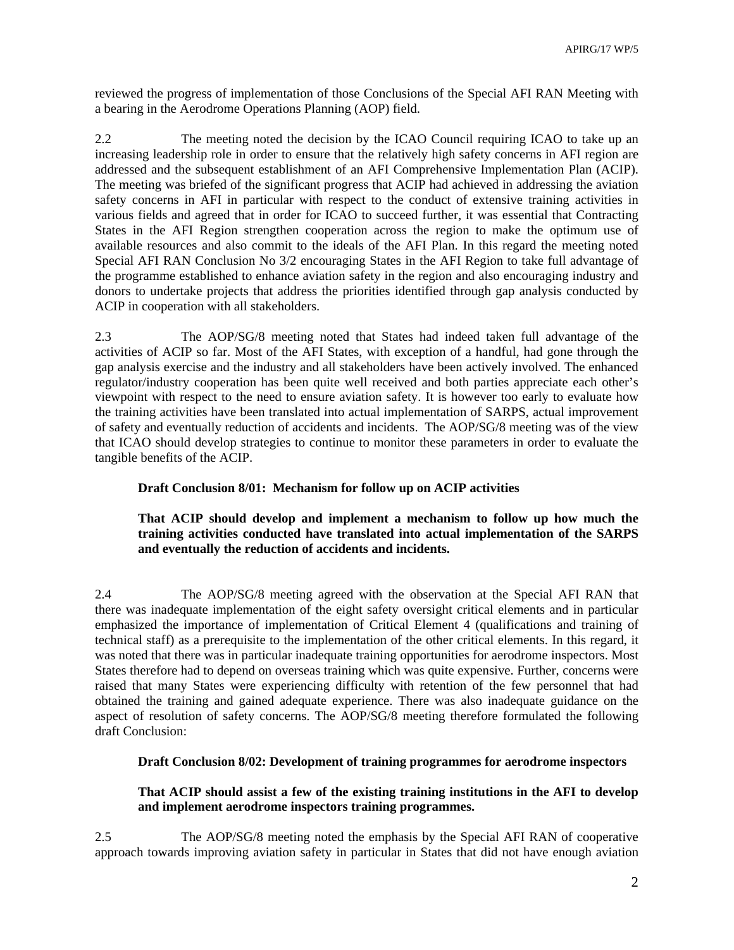reviewed the progress of implementation of those Conclusions of the Special AFI RAN Meeting with a bearing in the Aerodrome Operations Planning (AOP) field.

2.2 The meeting noted the decision by the ICAO Council requiring ICAO to take up an increasing leadership role in order to ensure that the relatively high safety concerns in AFI region are addressed and the subsequent establishment of an AFI Comprehensive Implementation Plan (ACIP). The meeting was briefed of the significant progress that ACIP had achieved in addressing the aviation safety concerns in AFI in particular with respect to the conduct of extensive training activities in various fields and agreed that in order for ICAO to succeed further, it was essential that Contracting States in the AFI Region strengthen cooperation across the region to make the optimum use of available resources and also commit to the ideals of the AFI Plan. In this regard the meeting noted Special AFI RAN Conclusion No 3/2 encouraging States in the AFI Region to take full advantage of the programme established to enhance aviation safety in the region and also encouraging industry and donors to undertake projects that address the priorities identified through gap analysis conducted by ACIP in cooperation with all stakeholders.

2.3 The AOP/SG/8 meeting noted that States had indeed taken full advantage of the activities of ACIP so far. Most of the AFI States, with exception of a handful, had gone through the gap analysis exercise and the industry and all stakeholders have been actively involved. The enhanced regulator/industry cooperation has been quite well received and both parties appreciate each other's viewpoint with respect to the need to ensure aviation safety. It is however too early to evaluate how the training activities have been translated into actual implementation of SARPS, actual improvement of safety and eventually reduction of accidents and incidents. The AOP/SG/8 meeting was of the view that ICAO should develop strategies to continue to monitor these parameters in order to evaluate the tangible benefits of the ACIP.

## **Draft Conclusion 8/01: Mechanism for follow up on ACIP activities**

### **That ACIP should develop and implement a mechanism to follow up how much the training activities conducted have translated into actual implementation of the SARPS and eventually the reduction of accidents and incidents.**

2.4 The AOP/SG/8 meeting agreed with the observation at the Special AFI RAN that there was inadequate implementation of the eight safety oversight critical elements and in particular emphasized the importance of implementation of Critical Element 4 (qualifications and training of technical staff) as a prerequisite to the implementation of the other critical elements. In this regard, it was noted that there was in particular inadequate training opportunities for aerodrome inspectors. Most States therefore had to depend on overseas training which was quite expensive. Further, concerns were raised that many States were experiencing difficulty with retention of the few personnel that had obtained the training and gained adequate experience. There was also inadequate guidance on the aspect of resolution of safety concerns. The AOP/SG/8 meeting therefore formulated the following draft Conclusion:

### **Draft Conclusion 8/02: Development of training programmes for aerodrome inspectors**

### **That ACIP should assist a few of the existing training institutions in the AFI to develop and implement aerodrome inspectors training programmes.**

2.5 The AOP/SG/8 meeting noted the emphasis by the Special AFI RAN of cooperative approach towards improving aviation safety in particular in States that did not have enough aviation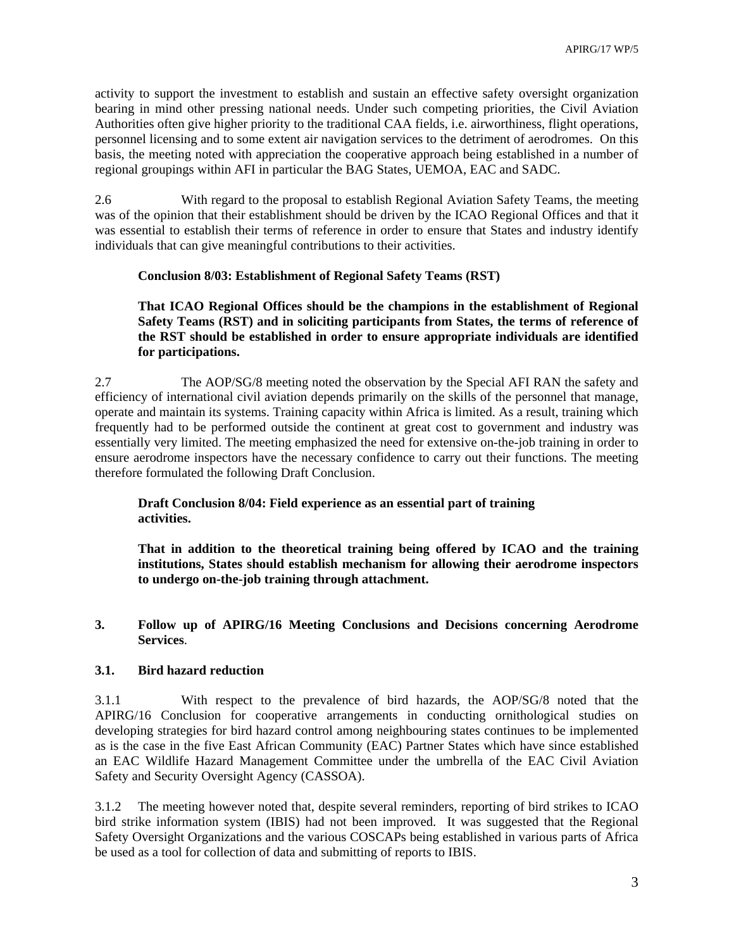activity to support the investment to establish and sustain an effective safety oversight organization bearing in mind other pressing national needs. Under such competing priorities, the Civil Aviation Authorities often give higher priority to the traditional CAA fields, i.e. airworthiness, flight operations, personnel licensing and to some extent air navigation services to the detriment of aerodromes. On this basis, the meeting noted with appreciation the cooperative approach being established in a number of regional groupings within AFI in particular the BAG States, UEMOA, EAC and SADC.

2.6 With regard to the proposal to establish Regional Aviation Safety Teams, the meeting was of the opinion that their establishment should be driven by the ICAO Regional Offices and that it was essential to establish their terms of reference in order to ensure that States and industry identify individuals that can give meaningful contributions to their activities.

#### **Conclusion 8/03: Establishment of Regional Safety Teams (RST)**

**That ICAO Regional Offices should be the champions in the establishment of Regional Safety Teams (RST) and in soliciting participants from States, the terms of reference of the RST should be established in order to ensure appropriate individuals are identified for participations.** 

2.7 The AOP/SG/8 meeting noted the observation by the Special AFI RAN the safety and efficiency of international civil aviation depends primarily on the skills of the personnel that manage, operate and maintain its systems. Training capacity within Africa is limited. As a result, training which frequently had to be performed outside the continent at great cost to government and industry was essentially very limited. The meeting emphasized the need for extensive on-the-job training in order to ensure aerodrome inspectors have the necessary confidence to carry out their functions. The meeting therefore formulated the following Draft Conclusion.

## **Draft Conclusion 8/04: Field experience as an essential part of training activities.**

**That in addition to the theoretical training being offered by ICAO and the training institutions, States should establish mechanism for allowing their aerodrome inspectors to undergo on-the-job training through attachment.** 

### **3. Follow up of APIRG/16 Meeting Conclusions and Decisions concerning Aerodrome Services**.

### **3.1. Bird hazard reduction**

3.1.1 With respect to the prevalence of bird hazards, the AOP/SG/8 noted that the APIRG/16 Conclusion for cooperative arrangements in conducting ornithological studies on developing strategies for bird hazard control among neighbouring states continues to be implemented as is the case in the five East African Community (EAC) Partner States which have since established an EAC Wildlife Hazard Management Committee under the umbrella of the EAC Civil Aviation Safety and Security Oversight Agency (CASSOA).

3.1.2 The meeting however noted that, despite several reminders, reporting of bird strikes to ICAO bird strike information system (IBIS) had not been improved. It was suggested that the Regional Safety Oversight Organizations and the various COSCAPs being established in various parts of Africa be used as a tool for collection of data and submitting of reports to IBIS.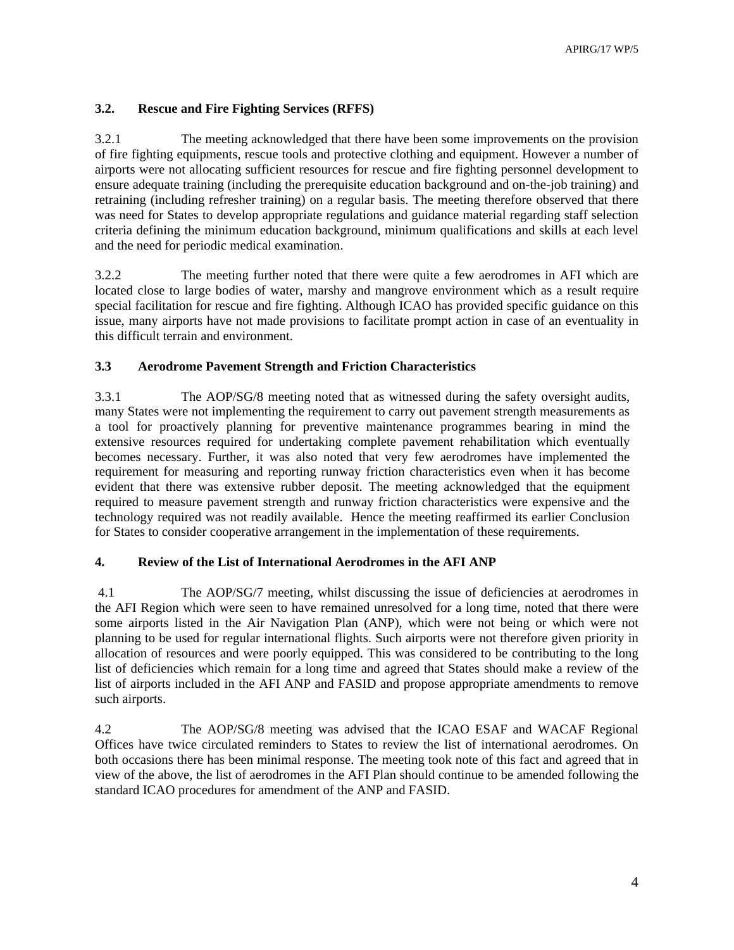## **3.2. Rescue and Fire Fighting Services (RFFS)**

3.2.1 The meeting acknowledged that there have been some improvements on the provision of fire fighting equipments, rescue tools and protective clothing and equipment. However a number of airports were not allocating sufficient resources for rescue and fire fighting personnel development to ensure adequate training (including the prerequisite education background and on-the-job training) and retraining (including refresher training) on a regular basis. The meeting therefore observed that there was need for States to develop appropriate regulations and guidance material regarding staff selection criteria defining the minimum education background, minimum qualifications and skills at each level and the need for periodic medical examination.

3.2.2 The meeting further noted that there were quite a few aerodromes in AFI which are located close to large bodies of water, marshy and mangrove environment which as a result require special facilitation for rescue and fire fighting. Although ICAO has provided specific guidance on this issue, many airports have not made provisions to facilitate prompt action in case of an eventuality in this difficult terrain and environment.

### **3.3 Aerodrome Pavement Strength and Friction Characteristics**

3.3.1 The AOP/SG/8 meeting noted that as witnessed during the safety oversight audits, many States were not implementing the requirement to carry out pavement strength measurements as a tool for proactively planning for preventive maintenance programmes bearing in mind the extensive resources required for undertaking complete pavement rehabilitation which eventually becomes necessary. Further, it was also noted that very few aerodromes have implemented the requirement for measuring and reporting runway friction characteristics even when it has become evident that there was extensive rubber deposit. The meeting acknowledged that the equipment required to measure pavement strength and runway friction characteristics were expensive and the technology required was not readily available. Hence the meeting reaffirmed its earlier Conclusion for States to consider cooperative arrangement in the implementation of these requirements.

#### **4. Review of the List of International Aerodromes in the AFI ANP**

 4.1 The AOP/SG/7 meeting, whilst discussing the issue of deficiencies at aerodromes in the AFI Region which were seen to have remained unresolved for a long time, noted that there were some airports listed in the Air Navigation Plan (ANP), which were not being or which were not planning to be used for regular international flights. Such airports were not therefore given priority in allocation of resources and were poorly equipped. This was considered to be contributing to the long list of deficiencies which remain for a long time and agreed that States should make a review of the list of airports included in the AFI ANP and FASID and propose appropriate amendments to remove such airports.

4.2 The AOP/SG/8 meeting was advised that the ICAO ESAF and WACAF Regional Offices have twice circulated reminders to States to review the list of international aerodromes. On both occasions there has been minimal response. The meeting took note of this fact and agreed that in view of the above, the list of aerodromes in the AFI Plan should continue to be amended following the standard ICAO procedures for amendment of the ANP and FASID.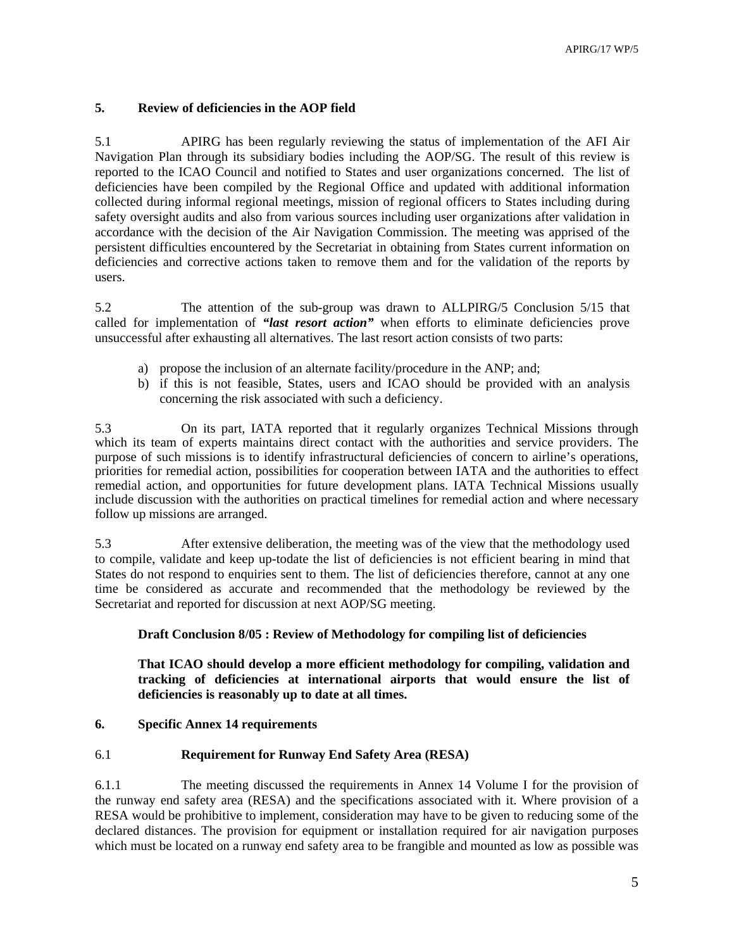### **5. Review of deficiencies in the AOP field**

5.1 APIRG has been regularly reviewing the status of implementation of the AFI Air Navigation Plan through its subsidiary bodies including the AOP/SG. The result of this review is reported to the ICAO Council and notified to States and user organizations concerned. The list of deficiencies have been compiled by the Regional Office and updated with additional information collected during informal regional meetings, mission of regional officers to States including during safety oversight audits and also from various sources including user organizations after validation in accordance with the decision of the Air Navigation Commission. The meeting was apprised of the persistent difficulties encountered by the Secretariat in obtaining from States current information on deficiencies and corrective actions taken to remove them and for the validation of the reports by users.

5.2 The attention of the sub-group was drawn to ALLPIRG/5 Conclusion 5/15 that called for implementation of *"last resort action"* when efforts to eliminate deficiencies prove unsuccessful after exhausting all alternatives. The last resort action consists of two parts:

- a) propose the inclusion of an alternate facility/procedure in the ANP; and;
- b) if this is not feasible, States, users and ICAO should be provided with an analysis concerning the risk associated with such a deficiency.

5.3 On its part, IATA reported that it regularly organizes Technical Missions through which its team of experts maintains direct contact with the authorities and service providers. The purpose of such missions is to identify infrastructural deficiencies of concern to airline's operations, priorities for remedial action, possibilities for cooperation between IATA and the authorities to effect remedial action, and opportunities for future development plans. IATA Technical Missions usually include discussion with the authorities on practical timelines for remedial action and where necessary follow up missions are arranged.

5.3 After extensive deliberation, the meeting was of the view that the methodology used to compile, validate and keep up-todate the list of deficiencies is not efficient bearing in mind that States do not respond to enquiries sent to them. The list of deficiencies therefore, cannot at any one time be considered as accurate and recommended that the methodology be reviewed by the Secretariat and reported for discussion at next AOP/SG meeting.

### **Draft Conclusion 8/05 : Review of Methodology for compiling list of deficiencies**

**That ICAO should develop a more efficient methodology for compiling, validation and tracking of deficiencies at international airports that would ensure the list of deficiencies is reasonably up to date at all times.** 

### **6. Specific Annex 14 requirements**

## 6.1 **Requirement for Runway End Safety Area (RESA)**

6.1.1 The meeting discussed the requirements in Annex 14 Volume I for the provision of the runway end safety area (RESA) and the specifications associated with it. Where provision of a RESA would be prohibitive to implement, consideration may have to be given to reducing some of the declared distances. The provision for equipment or installation required for air navigation purposes which must be located on a runway end safety area to be frangible and mounted as low as possible was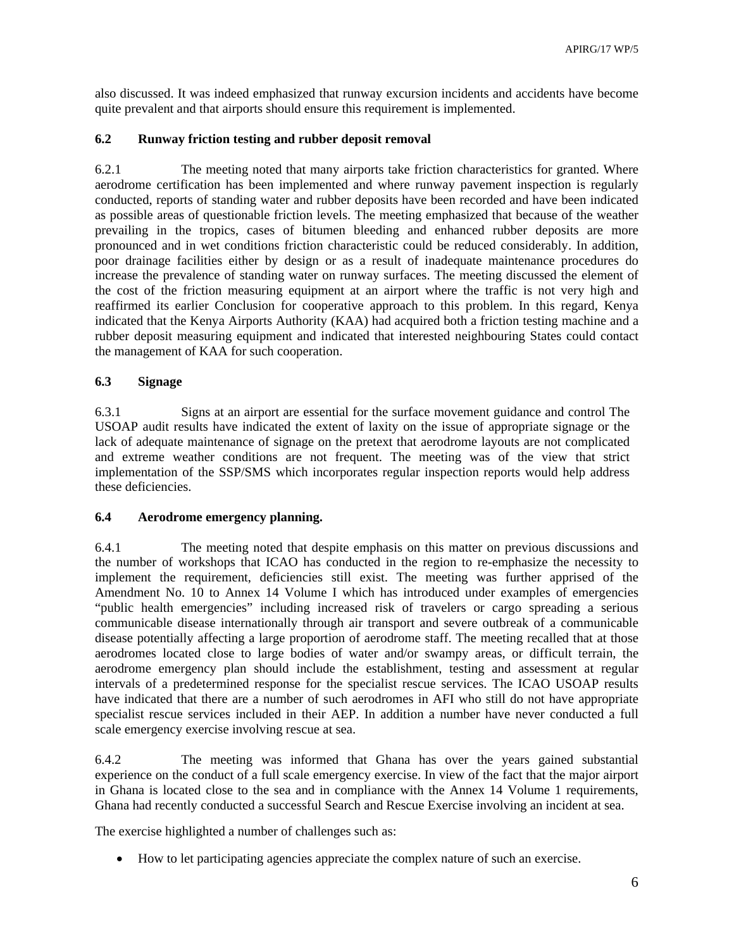also discussed. It was indeed emphasized that runway excursion incidents and accidents have become quite prevalent and that airports should ensure this requirement is implemented.

### **6.2 Runway friction testing and rubber deposit removal**

6.2.1 The meeting noted that many airports take friction characteristics for granted. Where aerodrome certification has been implemented and where runway pavement inspection is regularly conducted, reports of standing water and rubber deposits have been recorded and have been indicated as possible areas of questionable friction levels. The meeting emphasized that because of the weather prevailing in the tropics, cases of bitumen bleeding and enhanced rubber deposits are more pronounced and in wet conditions friction characteristic could be reduced considerably. In addition, poor drainage facilities either by design or as a result of inadequate maintenance procedures do increase the prevalence of standing water on runway surfaces. The meeting discussed the element of the cost of the friction measuring equipment at an airport where the traffic is not very high and reaffirmed its earlier Conclusion for cooperative approach to this problem. In this regard, Kenya indicated that the Kenya Airports Authority (KAA) had acquired both a friction testing machine and a rubber deposit measuring equipment and indicated that interested neighbouring States could contact the management of KAA for such cooperation.

#### **6.3 Signage**

6.3.1 Signs at an airport are essential for the surface movement guidance and control The USOAP audit results have indicated the extent of laxity on the issue of appropriate signage or the lack of adequate maintenance of signage on the pretext that aerodrome layouts are not complicated and extreme weather conditions are not frequent. The meeting was of the view that strict implementation of the SSP/SMS which incorporates regular inspection reports would help address these deficiencies.

#### **6.4 Aerodrome emergency planning.**

6.4.1 The meeting noted that despite emphasis on this matter on previous discussions and the number of workshops that ICAO has conducted in the region to re-emphasize the necessity to implement the requirement, deficiencies still exist. The meeting was further apprised of the Amendment No. 10 to Annex 14 Volume I which has introduced under examples of emergencies "public health emergencies" including increased risk of travelers or cargo spreading a serious communicable disease internationally through air transport and severe outbreak of a communicable disease potentially affecting a large proportion of aerodrome staff. The meeting recalled that at those aerodromes located close to large bodies of water and/or swampy areas, or difficult terrain, the aerodrome emergency plan should include the establishment, testing and assessment at regular intervals of a predetermined response for the specialist rescue services. The ICAO USOAP results have indicated that there are a number of such aerodromes in AFI who still do not have appropriate specialist rescue services included in their AEP. In addition a number have never conducted a full scale emergency exercise involving rescue at sea.

6.4.2 The meeting was informed that Ghana has over the years gained substantial experience on the conduct of a full scale emergency exercise. In view of the fact that the major airport in Ghana is located close to the sea and in compliance with the Annex 14 Volume 1 requirements, Ghana had recently conducted a successful Search and Rescue Exercise involving an incident at sea.

The exercise highlighted a number of challenges such as:

• How to let participating agencies appreciate the complex nature of such an exercise.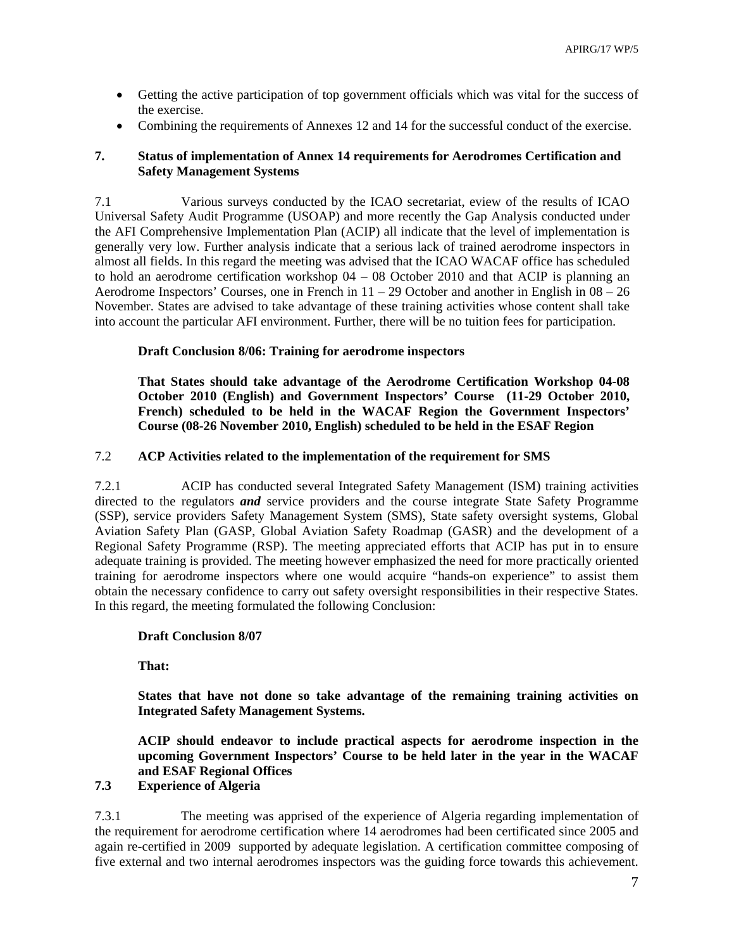- Getting the active participation of top government officials which was vital for the success of the exercise.
- Combining the requirements of Annexes 12 and 14 for the successful conduct of the exercise.

### **7. Status of implementation of Annex 14 requirements for Aerodromes Certification and Safety Management Systems**

7.1 Various surveys conducted by the ICAO secretariat, eview of the results of ICAO Universal Safety Audit Programme (USOAP) and more recently the Gap Analysis conducted under the AFI Comprehensive Implementation Plan (ACIP) all indicate that the level of implementation is generally very low. Further analysis indicate that a serious lack of trained aerodrome inspectors in almost all fields. In this regard the meeting was advised that the ICAO WACAF office has scheduled to hold an aerodrome certification workshop 04 – 08 October 2010 and that ACIP is planning an Aerodrome Inspectors' Courses, one in French in  $11 - 29$  October and another in English in  $08 - 26$ November. States are advised to take advantage of these training activities whose content shall take into account the particular AFI environment. Further, there will be no tuition fees for participation.

### **Draft Conclusion 8/06: Training for aerodrome inspectors**

**That States should take advantage of the Aerodrome Certification Workshop 04-08 October 2010 (English) and Government Inspectors' Course (11-29 October 2010, French) scheduled to be held in the WACAF Region the Government Inspectors' Course (08-26 November 2010, English) scheduled to be held in the ESAF Region** 

## 7.2 **ACP Activities related to the implementation of the requirement for SMS**

7.2.1 ACIP has conducted several Integrated Safety Management (ISM) training activities directed to the regulators *and* service providers and the course integrate State Safety Programme (SSP), service providers Safety Management System (SMS), State safety oversight systems, Global Aviation Safety Plan (GASP, Global Aviation Safety Roadmap (GASR) and the development of a Regional Safety Programme (RSP). The meeting appreciated efforts that ACIP has put in to ensure adequate training is provided. The meeting however emphasized the need for more practically oriented training for aerodrome inspectors where one would acquire "hands-on experience" to assist them obtain the necessary confidence to carry out safety oversight responsibilities in their respective States. In this regard, the meeting formulated the following Conclusion:

### **Draft Conclusion 8/07**

**That:** 

**States that have not done so take advantage of the remaining training activities on Integrated Safety Management Systems.** 

**ACIP should endeavor to include practical aspects for aerodrome inspection in the upcoming Government Inspectors' Course to be held later in the year in the WACAF and ESAF Regional Offices** 

### **7.3 Experience of Algeria**

7.3.1 The meeting was apprised of the experience of Algeria regarding implementation of the requirement for aerodrome certification where 14 aerodromes had been certificated since 2005 and again re-certified in 2009 supported by adequate legislation. A certification committee composing of five external and two internal aerodromes inspectors was the guiding force towards this achievement.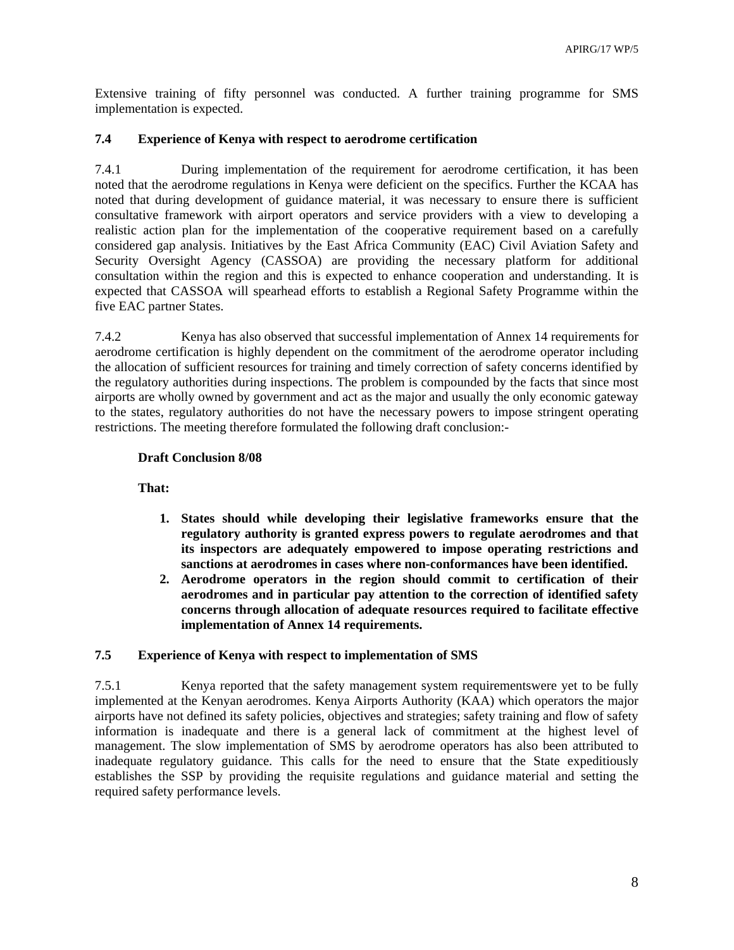Extensive training of fifty personnel was conducted. A further training programme for SMS implementation is expected.

## **7.4 Experience of Kenya with respect to aerodrome certification**

7.4.1 During implementation of the requirement for aerodrome certification, it has been noted that the aerodrome regulations in Kenya were deficient on the specifics. Further the KCAA has noted that during development of guidance material, it was necessary to ensure there is sufficient consultative framework with airport operators and service providers with a view to developing a realistic action plan for the implementation of the cooperative requirement based on a carefully considered gap analysis. Initiatives by the East Africa Community (EAC) Civil Aviation Safety and Security Oversight Agency (CASSOA) are providing the necessary platform for additional consultation within the region and this is expected to enhance cooperation and understanding. It is expected that CASSOA will spearhead efforts to establish a Regional Safety Programme within the five EAC partner States.

7.4.2 Kenya has also observed that successful implementation of Annex 14 requirements for aerodrome certification is highly dependent on the commitment of the aerodrome operator including the allocation of sufficient resources for training and timely correction of safety concerns identified by the regulatory authorities during inspections. The problem is compounded by the facts that since most airports are wholly owned by government and act as the major and usually the only economic gateway to the states, regulatory authorities do not have the necessary powers to impose stringent operating restrictions. The meeting therefore formulated the following draft conclusion:-

## **Draft Conclusion 8/08**

**That:** 

- **1. States should while developing their legislative frameworks ensure that the regulatory authority is granted express powers to regulate aerodromes and that its inspectors are adequately empowered to impose operating restrictions and sanctions at aerodromes in cases where non-conformances have been identified.**
- **2. Aerodrome operators in the region should commit to certification of their aerodromes and in particular pay attention to the correction of identified safety concerns through allocation of adequate resources required to facilitate effective implementation of Annex 14 requirements.**

## **7.5 Experience of Kenya with respect to implementation of SMS**

7.5.1 Kenya reported that the safety management system requirementswere yet to be fully implemented at the Kenyan aerodromes. Kenya Airports Authority (KAA) which operators the major airports have not defined its safety policies, objectives and strategies; safety training and flow of safety information is inadequate and there is a general lack of commitment at the highest level of management. The slow implementation of SMS by aerodrome operators has also been attributed to inadequate regulatory guidance. This calls for the need to ensure that the State expeditiously establishes the SSP by providing the requisite regulations and guidance material and setting the required safety performance levels.